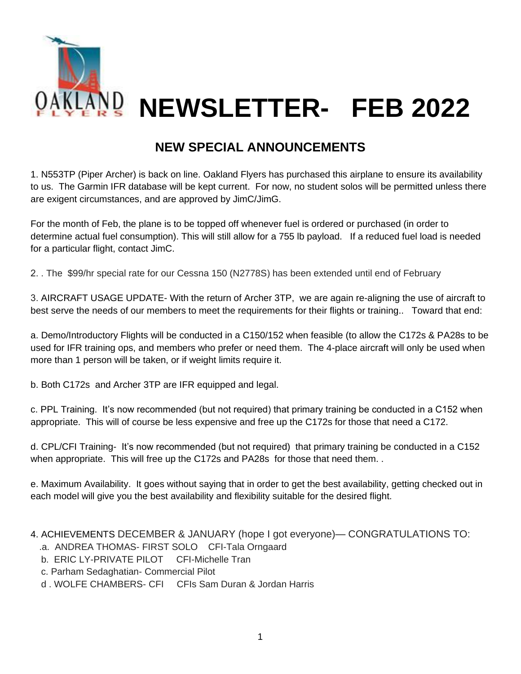

## **NEW SPECIAL ANNOUNCEMENTS**

1. N553TP (Piper Archer) is back on line. Oakland Flyers has purchased this airplane to ensure its availability to us. The Garmin IFR database will be kept current. For now, no student solos will be permitted unless there are exigent circumstances, and are approved by JimC/JimG.

For the month of Feb, the plane is to be topped off whenever fuel is ordered or purchased (in order to determine actual fuel consumption). This will still allow for a 755 lb payload. If a reduced fuel load is needed for a particular flight, contact JimC.

2. . The \$99/hr special rate for our Cessna 150 (N2778S) has been extended until end of February

3. AIRCRAFT USAGE UPDATE- With the return of Archer 3TP, we are again re-aligning the use of aircraft to best serve the needs of our members to meet the requirements for their flights or training.. Toward that end:

a. Demo/Introductory Flights will be conducted in a C150/152 when feasible (to allow the C172s & PA28s to be used for IFR training ops, and members who prefer or need them. The 4-place aircraft will only be used when more than 1 person will be taken, or if weight limits require it.

b. Both C172s and Archer 3TP are IFR equipped and legal.

c. PPL Training. It's now recommended (but not required) that primary training be conducted in a C152 when appropriate. This will of course be less expensive and free up the C172s for those that need a C172.

d. CPL/CFI Training- It's now recommended (but not required) that primary training be conducted in a C152 when appropriate. This will free up the C172s and PA28s for those that need them..

e. Maximum Availability. It goes without saying that in order to get the best availability, getting checked out in each model will give you the best availability and flexibility suitable for the desired flight.

4. ACHIEVEMENTS DECEMBER & JANUARY (hope I got everyone)— CONGRATULATIONS TO:

- .a. ANDREA THOMAS- FIRST SOLO CFI-Tala Orngaard
- b. ERIC LY-PRIVATE PILOT CFI-Michelle Tran
- c. Parham Sedaghatian- Commercial Pilot
- d . WOLFE CHAMBERS- CFI CFIs Sam Duran & Jordan Harris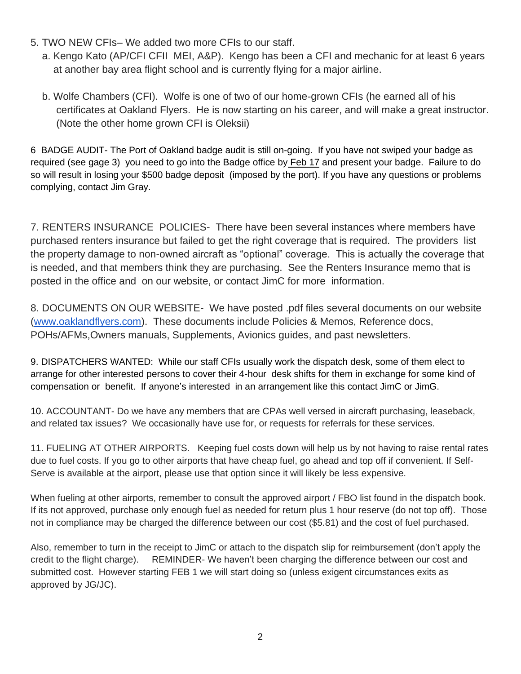- 5. TWO NEW CFIs– We added two more CFIs to our staff.
	- a. Kengo Kato (AP/CFI CFII MEI, A&P). Kengo has been a CFI and mechanic for at least 6 years at another bay area flight school and is currently flying for a major airline.
	- b. Wolfe Chambers (CFI). Wolfe is one of two of our home-grown CFIs (he earned all of his certificates at Oakland Flyers. He is now starting on his career, and will make a great instructor. (Note the other home grown CFI is Oleksii)

6 BADGE AUDIT- The Port of Oakland badge audit is still on-going. If you have not swiped your badge as required (see gage 3) you need to go into the Badge office by Feb 17 and present your badge. Failure to do so will result in losing your \$500 badge deposit (imposed by the port). If you have any questions or problems complying, contact Jim Gray.

7. RENTERS INSURANCE POLICIES- There have been several instances where members have purchased renters insurance but failed to get the right coverage that is required. The providers list the property damage to non-owned aircraft as "optional" coverage. This is actually the coverage that is needed, and that members think they are purchasing. See the Renters Insurance memo that is posted in the office and on our website, or contact JimC for more information.

8. DOCUMENTS ON OUR WEBSITE- We have posted .pdf files several documents on our website [\(www.oaklandflyers.com\)](http://www.oaklandflyers.com/). These documents include Policies & Memos, Reference docs, POHs/AFMs,Owners manuals, Supplements, Avionics guides, and past newsletters.

9. DISPATCHERS WANTED: While our staff CFIs usually work the dispatch desk, some of them elect to arrange for other interested persons to cover their 4-hour desk shifts for them in exchange for some kind of compensation or benefit. If anyone's interested in an arrangement like this contact JimC or JimG.

10. ACCOUNTANT- Do we have any members that are CPAs well versed in aircraft purchasing, leaseback, and related tax issues? We occasionally have use for, or requests for referrals for these services.

11. FUELING AT OTHER AIRPORTS. Keeping fuel costs down will help us by not having to raise rental rates due to fuel costs. If you go to other airports that have cheap fuel, go ahead and top off if convenient. If Self-Serve is available at the airport, please use that option since it will likely be less expensive.

When fueling at other airports, remember to consult the approved airport / FBO list found in the dispatch book. If its not approved, purchase only enough fuel as needed for return plus 1 hour reserve (do not top off). Those not in compliance may be charged the difference between our cost (\$5.81) and the cost of fuel purchased.

Also, remember to turn in the receipt to JimC or attach to the dispatch slip for reimbursement (don't apply the credit to the flight charge). REMINDER- We haven't been charging the difference between our cost and submitted cost. However starting FEB 1 we will start doing so (unless exigent circumstances exits as approved by JG/JC).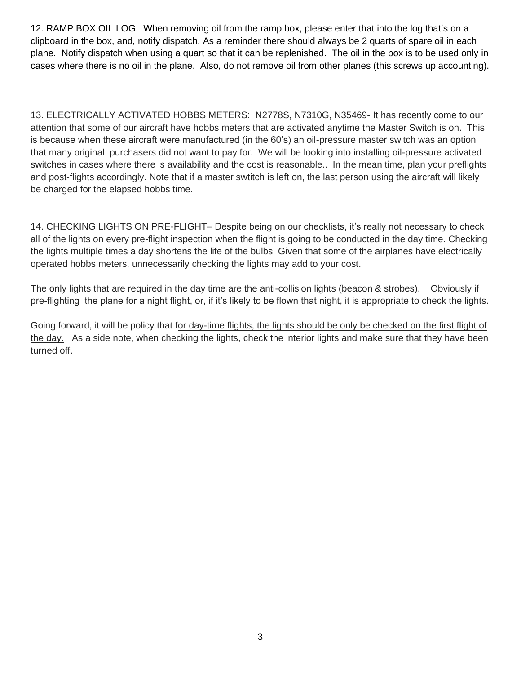12. RAMP BOX OIL LOG: When removing oil from the ramp box, please enter that into the log that's on a clipboard in the box, and, notify dispatch. As a reminder there should always be 2 quarts of spare oil in each plane. Notify dispatch when using a quart so that it can be replenished. The oil in the box is to be used only in cases where there is no oil in the plane. Also, do not remove oil from other planes (this screws up accounting).

13. ELECTRICALLY ACTIVATED HOBBS METERS: N2778S, N7310G, N35469- It has recently come to our attention that some of our aircraft have hobbs meters that are activated anytime the Master Switch is on. This is because when these aircraft were manufactured (in the 60's) an oil-pressure master switch was an option that many original purchasers did not want to pay for. We will be looking into installing oil-pressure activated switches in cases where there is availability and the cost is reasonable.. In the mean time, plan your preflights and post-flights accordingly. Note that if a master swtitch is left on, the last person using the aircraft will likely be charged for the elapsed hobbs time.

14. CHECKING LIGHTS ON PRE-FLIGHT– Despite being on our checklists, it's really not necessary to check all of the lights on every pre-flight inspection when the flight is going to be conducted in the day time. Checking the lights multiple times a day shortens the life of the bulbs Given that some of the airplanes have electrically operated hobbs meters, unnecessarily checking the lights may add to your cost.

The only lights that are required in the day time are the anti-collision lights (beacon & strobes). Obviously if pre-flighting the plane for a night flight, or, if it's likely to be flown that night, it is appropriate to check the lights.

Going forward, it will be policy that for day-time flights, the lights should be only be checked on the first flight of the day. As a side note, when checking the lights, check the interior lights and make sure that they have been turned off.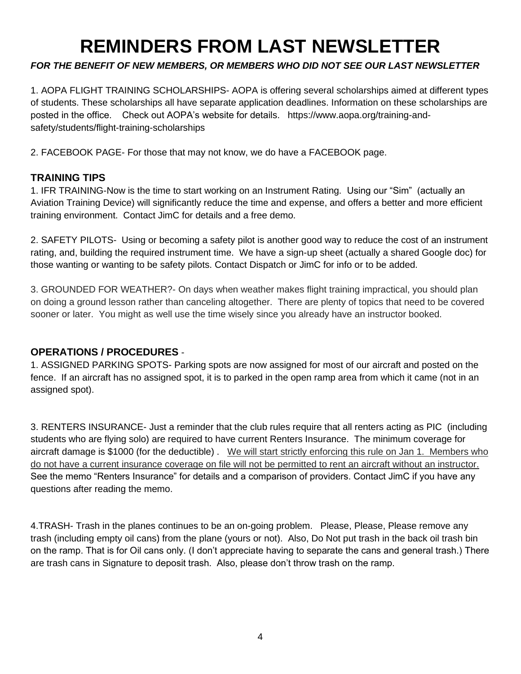# **REMINDERS FROM LAST NEWSLETTER**

### *FOR THE BENEFIT OF NEW MEMBERS, OR MEMBERS WHO DID NOT SEE OUR LAST NEWSLETTER*

1. AOPA FLIGHT TRAINING SCHOLARSHIPS- AOPA is offering several scholarships aimed at different types of students. These scholarships all have separate application deadlines. Information on these scholarships are posted in the office. Check out AOPA's website for details. https://www.aopa.org/training-andsafety/students/flight-training-scholarships

2. FACEBOOK PAGE- For those that may not know, we do have a FACEBOOK page.

#### **TRAINING TIPS**

1. IFR TRAINING-Now is the time to start working on an Instrument Rating. Using our "Sim" (actually an Aviation Training Device) will significantly reduce the time and expense, and offers a better and more efficient training environment. Contact JimC for details and a free demo.

2. SAFETY PILOTS- Using or becoming a safety pilot is another good way to reduce the cost of an instrument rating, and, building the required instrument time. We have a sign-up sheet (actually a shared Google doc) for those wanting or wanting to be safety pilots. Contact Dispatch or JimC for info or to be added.

3. GROUNDED FOR WEATHER?- On days when weather makes flight training impractical, you should plan on doing a ground lesson rather than canceling altogether. There are plenty of topics that need to be covered sooner or later. You might as well use the time wisely since you already have an instructor booked.

#### **OPERATIONS / PROCEDURES** -

1. ASSIGNED PARKING SPOTS- Parking spots are now assigned for most of our aircraft and posted on the fence. If an aircraft has no assigned spot, it is to parked in the open ramp area from which it came (not in an assigned spot).

3. RENTERS INSURANCE- Just a reminder that the club rules require that all renters acting as PIC (including students who are flying solo) are required to have current Renters Insurance. The minimum coverage for aircraft damage is \$1000 (for the deductible) . We will start strictly enforcing this rule on Jan 1. Members who do not have a current insurance coverage on file will not be permitted to rent an aircraft without an instructor. See the memo "Renters Insurance" for details and a comparison of providers. Contact JimC if you have any questions after reading the memo.

4.TRASH- Trash in the planes continues to be an on-going problem. Please, Please, Please remove any trash (including empty oil cans) from the plane (yours or not). Also, Do Not put trash in the back oil trash bin on the ramp. That is for Oil cans only. (I don't appreciate having to separate the cans and general trash.) There are trash cans in Signature to deposit trash. Also, please don't throw trash on the ramp.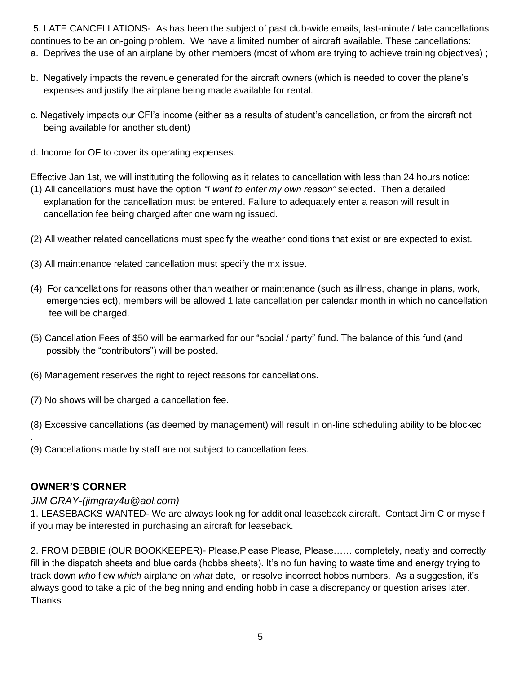5. LATE CANCELLATIONS- As has been the subject of past club-wide emails, last-minute / late cancellations continues to be an on-going problem. We have a limited number of aircraft available. These cancellations: a. Deprives the use of an airplane by other members (most of whom are trying to achieve training objectives) ;

- b. Negatively impacts the revenue generated for the aircraft owners (which is needed to cover the plane's expenses and justify the airplane being made available for rental.
- c. Negatively impacts our CFI's income (either as a results of student's cancellation, or from the aircraft not being available for another student)
- d. Income for OF to cover its operating expenses.

Effective Jan 1st, we will instituting the following as it relates to cancellation with less than 24 hours notice: (1) All cancellations must have the option *"I want to enter my own reason"* selected. Then a detailed

- explanation for the cancellation must be entered. Failure to adequately enter a reason will result in cancellation fee being charged after one warning issued.
- (2) All weather related cancellations must specify the weather conditions that exist or are expected to exist.
- (3) All maintenance related cancellation must specify the mx issue.
- (4) For cancellations for reasons other than weather or maintenance (such as illness, change in plans, work, emergencies ect), members will be allowed 1 late cancellation per calendar month in which no cancellation fee will be charged.
- (5) Cancellation Fees of \$50 will be earmarked for our "social / party" fund. The balance of this fund (and possibly the "contributors") will be posted.
- (6) Management reserves the right to reject reasons for cancellations.
- (7) No shows will be charged a cancellation fee.
- (8) Excessive cancellations (as deemed by management) will result in on-line scheduling ability to be blocked
- (9) Cancellations made by staff are not subject to cancellation fees.

#### **OWNER'S CORNER**

.

#### *JIM GRAY-(jimgray4u@aol.com)*

1. LEASEBACKS WANTED- We are always looking for additional leaseback aircraft. Contact Jim C or myself if you may be interested in purchasing an aircraft for leaseback.

2. FROM DEBBIE (OUR BOOKKEEPER)- Please,Please Please, Please…… completely, neatly and correctly fill in the dispatch sheets and blue cards (hobbs sheets). It's no fun having to waste time and energy trying to track down *who* flew *which* airplane on *what* date, or resolve incorrect hobbs numbers. As a suggestion, it's always good to take a pic of the beginning and ending hobb in case a discrepancy or question arises later. Thanks